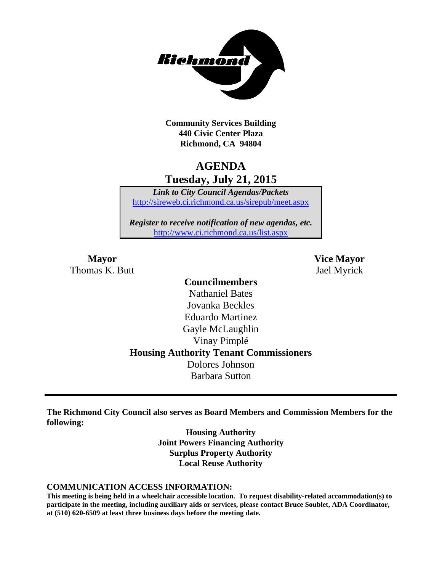

**Community Services Building 440 Civic Center Plaza Richmond, CA 94804**

# **AGENDA Tuesday, July 21, 2015**

*Link to City Council Agendas/Packets* <http://sireweb.ci.richmond.ca.us/sirepub/meet.aspx>

*Register to receive notification of new agendas, etc.* <http://www.ci.richmond.ca.us/list.aspx>

Thomas K. Butt Jael Myrick

**Mayor Vice Mayor**

# **Councilmembers** Nathaniel Bates Jovanka Beckles Eduardo Martinez Gayle McLaughlin Vinay Pimplé **Housing Authority Tenant Commissioners** Dolores Johnson Barbara Sutton

**The Richmond City Council also serves as Board Members and Commission Members for the following:**

> **Housing Authority Joint Powers Financing Authority Surplus Property Authority Local Reuse Authority**

#### **COMMUNICATION ACCESS INFORMATION:**

**This meeting is being held in a wheelchair accessible location. To request disability-related accommodation(s) to participate in the meeting, including auxiliary aids or services, please contact Bruce Soublet, ADA Coordinator, at (510) 620-6509 at least three business days before the meeting date.**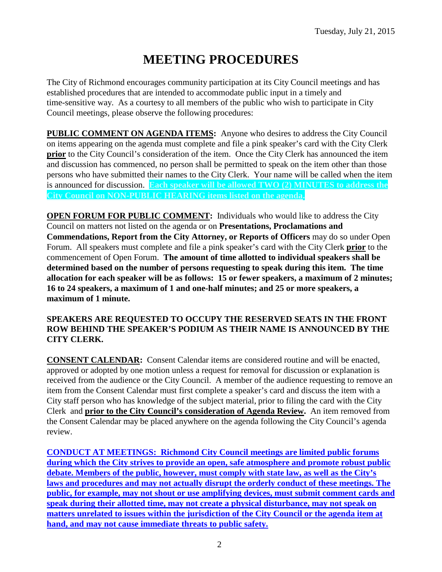# **MEETING PROCEDURES**

The City of Richmond encourages community participation at its City Council meetings and has established procedures that are intended to accommodate public input in a timely and time-sensitive way. As a courtesy to all members of the public who wish to participate in City Council meetings, please observe the following procedures:

**PUBLIC COMMENT ON AGENDA ITEMS:** Anyone who desires to address the City Council on items appearing on the agenda must complete and file a pink speaker's card with the City Clerk **prior** to the City Council's consideration of the item. Once the City Clerk has announced the item and discussion has commenced, no person shall be permitted to speak on the item other than those persons who have submitted their names to the City Clerk. Your name will be called when the item is announced for discussion. **Each speaker will be allowed TWO (2) MINUTES to address the City Council on NON-PUBLIC HEARING items listed on the agenda.**

**OPEN FORUM FOR PUBLIC COMMENT:** Individuals who would like to address the City Council on matters not listed on the agenda or on **Presentations, Proclamations and Commendations, Report from the City Attorney, or Reports of Officers** may do so under Open Forum. All speakers must complete and file a pink speaker's card with the City Clerk **prior** to the commencement of Open Forum. **The amount of time allotted to individual speakers shall be determined based on the number of persons requesting to speak during this item. The time allocation for each speaker will be as follows: 15 or fewer speakers, a maximum of 2 minutes; 16 to 24 speakers, a maximum of 1 and one-half minutes; and 25 or more speakers, a maximum of 1 minute.**

#### **SPEAKERS ARE REQUESTED TO OCCUPY THE RESERVED SEATS IN THE FRONT ROW BEHIND THE SPEAKER'S PODIUM AS THEIR NAME IS ANNOUNCED BY THE CITY CLERK.**

**CONSENT CALENDAR:** Consent Calendar items are considered routine and will be enacted, approved or adopted by one motion unless a request for removal for discussion or explanation is received from the audience or the City Council. A member of the audience requesting to remove an item from the Consent Calendar must first complete a speaker's card and discuss the item with a City staff person who has knowledge of the subject material, prior to filing the card with the City Clerk and **prior to the City Council's consideration of Agenda Review.** An item removed from the Consent Calendar may be placed anywhere on the agenda following the City Council's agenda review.

**CONDUCT AT MEETINGS: Richmond City Council meetings are limited public forums during which the City strives to provide an open, safe atmosphere and promote robust public debate. Members of the public, however, must comply with state law, as well as the City's laws and procedures and may not actually disrupt the orderly conduct of these meetings. The public, for example, may not shout or use amplifying devices, must submit comment cards and speak during their allotted time, may not create a physical disturbance, may not speak on matters unrelated to issues within the jurisdiction of the City Council or the agenda item at hand, and may not cause immediate threats to public safety.**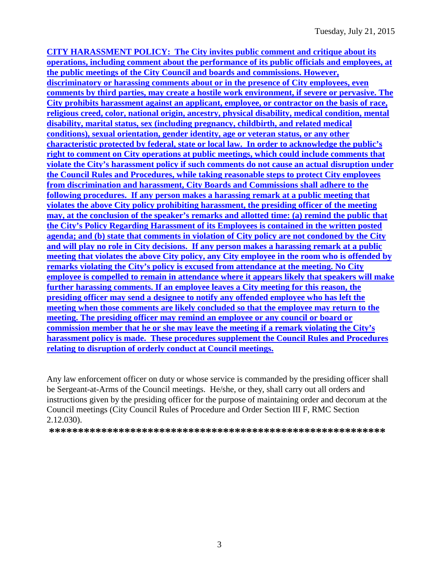**CITY HARASSMENT POLICY: The City invites public comment and critique about its operations, including comment about the performance of its public officials and employees, at the public meetings of the City Council and boards and commissions. However, discriminatory or harassing comments about or in the presence of City employees, even comments by third parties, may create a hostile work environment, if severe or pervasive. The City prohibits harassment against an applicant, employee, or contractor on the basis of race, religious creed, color, national origin, ancestry, physical disability, medical condition, mental disability, marital status, sex (including pregnancy, childbirth, and related medical conditions), sexual orientation, gender identity, age or veteran status, or any other characteristic protected by federal, state or local law. In order to acknowledge the public's right to comment on City operations at public meetings, which could include comments that violate the City's harassment policy if such comments do not cause an actual disruption under the Council Rules and Procedures, while taking reasonable steps to protect City employees from discrimination and harassment, City Boards and Commissions shall adhere to the following procedures. If any person makes a harassing remark at a public meeting that violates the above City policy prohibiting harassment, the presiding officer of the meeting may, at the conclusion of the speaker's remarks and allotted time: (a) remind the public that the City's Policy Regarding Harassment of its Employees is contained in the written posted agenda; and (b) state that comments in violation of City policy are not condoned by the City and will play no role in City decisions. If any person makes a harassing remark at a public meeting that violates the above City policy, any City employee in the room who is offended by remarks violating the City's policy is excused from attendance at the meeting. No City employee is compelled to remain in attendance where it appears likely that speakers will make further harassing comments. If an employee leaves a City meeting for this reason, the presiding officer may send a designee to notify any offended employee who has left the meeting when those comments are likely concluded so that the employee may return to the meeting. The presiding officer may remind an employee or any council or board or commission member that he or she may leave the meeting if a remark violating the City's harassment policy is made. These procedures supplement the Council Rules and Procedures relating to disruption of orderly conduct at Council meetings.**

Any law enforcement officer on duty or whose service is commanded by the presiding officer shall be Sergeant-at-Arms of the Council meetings. He/she, or they, shall carry out all orders and instructions given by the presiding officer for the purpose of maintaining order and decorum at the Council meetings (City Council Rules of Procedure and Order Section III F, RMC Section 2.12.030).

**\*\*\*\*\*\*\*\*\*\*\*\*\*\*\*\*\*\*\*\*\*\*\*\*\*\*\*\*\*\*\*\*\*\*\*\*\*\*\*\*\*\*\*\*\*\*\*\*\*\*\*\*\*\*\*\*\*\***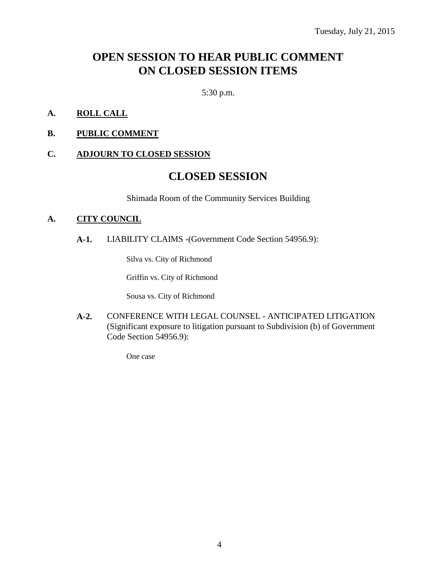# **OPEN SESSION TO HEAR PUBLIC COMMENT ON CLOSED SESSION ITEMS**

5:30 p.m.

- **A. ROLL CALL**
- **B. PUBLIC COMMENT**

#### **C. ADJOURN TO CLOSED SESSION**

# **CLOSED SESSION**

Shimada Room of the Community Services Building

#### **A. CITY COUNCIL**

**A-1.** LIABILITY CLAIMS -(Government Code Section 54956.9):

Silva vs. City of Richmond

Griffin vs. City of Richmond

Sousa vs. City of Richmond

**A-2.** CONFERENCE WITH LEGAL COUNSEL - ANTICIPATED LITIGATION (Significant exposure to litigation pursuant to Subdivision (b) of Government Code Section 54956.9):

One case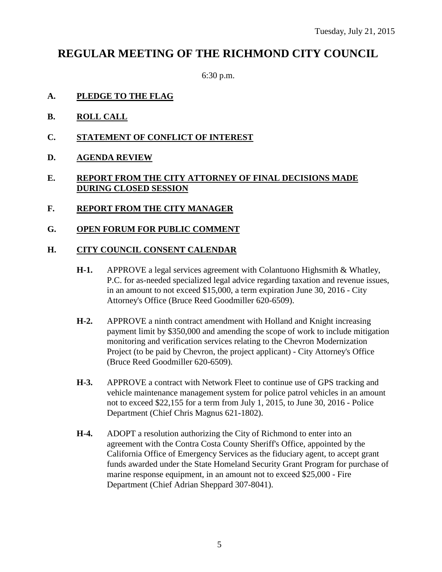# **REGULAR MEETING OF THE RICHMOND CITY COUNCIL**

6:30 p.m.

- **A. PLEDGE TO THE FLAG**
- **B. ROLL CALL**
- **C. STATEMENT OF CONFLICT OF INTEREST**
- **D. AGENDA REVIEW**

#### **E. REPORT FROM THE CITY ATTORNEY OF FINAL DECISIONS MADE DURING CLOSED SESSION**

- **F. REPORT FROM THE CITY MANAGER**
- **G. OPEN FORUM FOR PUBLIC COMMENT**

#### **H. CITY COUNCIL CONSENT CALENDAR**

- **H-1.** APPROVE a legal services agreement with Colantuono Highsmith & Whatley, P.C. for as-needed specialized legal advice regarding taxation and revenue issues, in an amount to not exceed \$15,000, a term expiration June 30, 2016 - City Attorney's Office (Bruce Reed Goodmiller 620-6509).
- **H-2.** APPROVE a ninth contract amendment with Holland and Knight increasing payment limit by \$350,000 and amending the scope of work to include mitigation monitoring and verification services relating to the Chevron Modernization Project (to be paid by Chevron, the project applicant) - City Attorney's Office (Bruce Reed Goodmiller 620-6509).
- **H-3.** APPROVE a contract with Network Fleet to continue use of GPS tracking and vehicle maintenance management system for police patrol vehicles in an amount not to exceed \$22,155 for a term from July 1, 2015, to June 30, 2016 - Police Department (Chief Chris Magnus 621-1802).
- **H-4.** ADOPT a resolution authorizing the City of Richmond to enter into an agreement with the Contra Costa County Sheriff's Office, appointed by the California Office of Emergency Services as the fiduciary agent, to accept grant funds awarded under the State Homeland Security Grant Program for purchase of marine response equipment, in an amount not to exceed \$25,000 - Fire Department (Chief Adrian Sheppard 307-8041).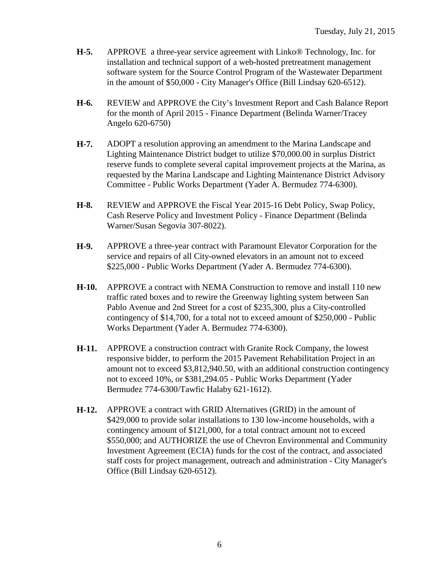- **H-5.** APPROVE a three-year service agreement with Linko® Technology, Inc. for installation and technical support of a web-hosted pretreatment management software system for the Source Control Program of the Wastewater Department in the amount of \$50,000 - City Manager's Office (Bill Lindsay 620-6512).
- **H-6.** REVIEW and APPROVE the City's Investment Report and Cash Balance Report for the month of April 2015 - Finance Department (Belinda Warner/Tracey Angelo 620-6750)
- **H-7.** ADOPT a resolution approving an amendment to the Marina Landscape and Lighting Maintenance District budget to utilize \$70,000.00 in surplus District reserve funds to complete several capital improvement projects at the Marina, as requested by the Marina Landscape and Lighting Maintenance District Advisory Committee - Public Works Department (Yader A. Bermudez 774-6300).
- **H-8.** REVIEW and APPROVE the Fiscal Year 2015-16 Debt Policy, Swap Policy, Cash Reserve Policy and Investment Policy - Finance Department (Belinda Warner/Susan Segovia 307-8022).
- **H-9.** APPROVE a three-year contract with Paramount Elevator Corporation for the service and repairs of all City-owned elevators in an amount not to exceed \$225,000 - Public Works Department (Yader A. Bermudez 774-6300).
- **H-10.** APPROVE a contract with NEMA Construction to remove and install 110 new traffic rated boxes and to rewire the Greenway lighting system between San Pablo Avenue and 2nd Street for a cost of \$235,300, plus a City-controlled contingency of \$14,700, for a total not to exceed amount of \$250,000 - Public Works Department (Yader A. Bermudez 774-6300).
- **H-11.** APPROVE a construction contract with Granite Rock Company, the lowest responsive bidder, to perform the 2015 Pavement Rehabilitation Project in an amount not to exceed \$3,812,940.50, with an additional construction contingency not to exceed 10%, or \$381,294.05 - Public Works Department (Yader Bermudez 774-6300/Tawfic Halaby 621-1612).
- **H-12.** APPROVE a contract with GRID Alternatives (GRID) in the amount of \$429,000 to provide solar installations to 130 low-income households, with a contingency amount of \$121,000, for a total contract amount not to exceed \$550,000; and AUTHORIZE the use of Chevron Environmental and Community Investment Agreement (ECIA) funds for the cost of the contract, and associated staff costs for project management, outreach and administration - City Manager's Office (Bill Lindsay 620-6512).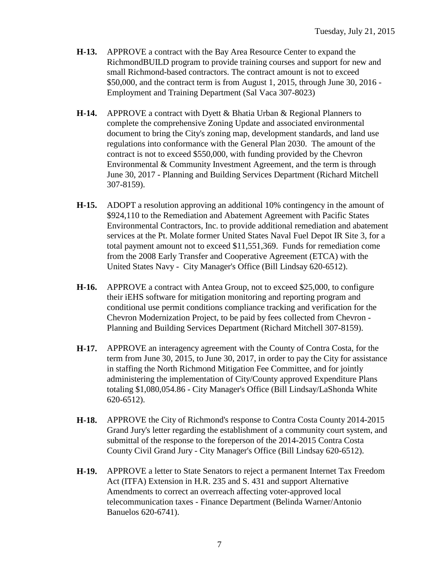- **H-13.** APPROVE a contract with the Bay Area Resource Center to expand the RichmondBUILD program to provide training courses and support for new and small Richmond-based contractors. The contract amount is not to exceed \$50,000, and the contract term is from August 1, 2015, through June 30, 2016 - Employment and Training Department (Sal Vaca 307-8023)
- **H-14.** APPROVE a contract with Dyett & Bhatia Urban & Regional Planners to complete the comprehensive Zoning Update and associated environmental document to bring the City's zoning map, development standards, and land use regulations into conformance with the General Plan 2030. The amount of the contract is not to exceed \$550,000, with funding provided by the Chevron Environmental  $&$  Community Investment Agreement, and the term is through June 30, 2017 - Planning and Building Services Department (Richard Mitchell 307-8159).
- **H-15.** ADOPT a resolution approving an additional 10% contingency in the amount of \$924,110 to the Remediation and Abatement Agreement with Pacific States Environmental Contractors, Inc. to provide additional remediation and abatement services at the Pt. Molate former United States Naval Fuel Depot IR Site 3, for a total payment amount not to exceed \$11,551,369. Funds for remediation come from the 2008 Early Transfer and Cooperative Agreement (ETCA) with the United States Navy - City Manager's Office (Bill Lindsay 620-6512).
- **H-16.** APPROVE a contract with Antea Group, not to exceed \$25,000, to configure their iEHS software for mitigation monitoring and reporting program and conditional use permit conditions compliance tracking and verification for the Chevron Modernization Project, to be paid by fees collected from Chevron - Planning and Building Services Department (Richard Mitchell 307-8159).
- **H-17.** APPROVE an interagency agreement with the County of Contra Costa, for the term from June 30, 2015, to June 30, 2017, in order to pay the City for assistance in staffing the North Richmond Mitigation Fee Committee, and for jointly administering the implementation of City/County approved Expenditure Plans totaling \$1,080,054.86 - City Manager's Office (Bill Lindsay/LaShonda White 620-6512).
- **H-18.** APPROVE the City of Richmond's response to Contra Costa County 2014-2015 Grand Jury's letter regarding the establishment of a community court system, and submittal of the response to the foreperson of the 2014-2015 Contra Costa County Civil Grand Jury - City Manager's Office (Bill Lindsay 620-6512).
- **H-19.** APPROVE a letter to State Senators to reject a permanent Internet Tax Freedom Act (ITFA) Extension in H.R. 235 and S. 431 and support Alternative Amendments to correct an overreach affecting voter-approved local telecommunication taxes - Finance Department (Belinda Warner/Antonio Banuelos 620-6741).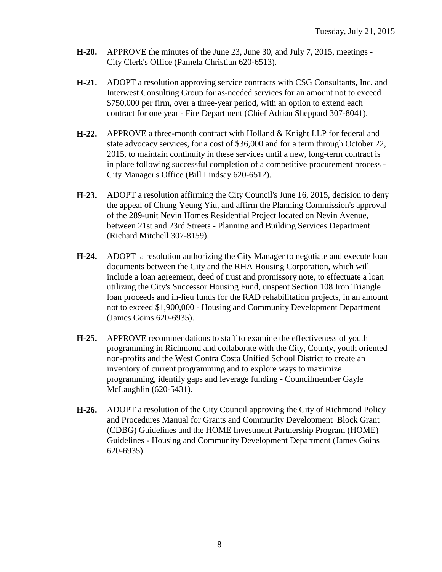- **H-20.** APPROVE the minutes of the June 23, June 30, and July 7, 2015, meetings City Clerk's Office (Pamela Christian 620-6513).
- **H-21.** ADOPT a resolution approving service contracts with CSG Consultants, Inc. and Interwest Consulting Group for as-needed services for an amount not to exceed \$750,000 per firm, over a three-year period, with an option to extend each contract for one year - Fire Department (Chief Adrian Sheppard 307-8041).
- **H-22.** APPROVE a three-month contract with Holland & Knight LLP for federal and state advocacy services, for a cost of \$36,000 and for a term through October 22, 2015, to maintain continuity in these services until a new, long-term contract is in place following successful completion of a competitive procurement process - City Manager's Office (Bill Lindsay 620-6512).
- **H-23.** ADOPT a resolution affirming the City Council's June 16, 2015, decision to deny the appeal of Chung Yeung Yiu, and affirm the Planning Commission's approval of the 289-unit Nevin Homes Residential Project located on Nevin Avenue, between 21st and 23rd Streets - Planning and Building Services Department (Richard Mitchell 307-8159).
- **H-24.** ADOPT a resolution authorizing the City Manager to negotiate and execute loan documents between the City and the RHA Housing Corporation, which will include a loan agreement, deed of trust and promissory note, to effectuate a loan utilizing the City's Successor Housing Fund, unspent Section 108 Iron Triangle loan proceeds and in-lieu funds for the RAD rehabilitation projects, in an amount not to exceed \$1,900,000 - Housing and Community Development Department (James Goins 620-6935).
- **H-25.** APPROVE recommendations to staff to examine the effectiveness of youth programming in Richmond and collaborate with the City, County, youth oriented non-profits and the West Contra Costa Unified School District to create an inventory of current programming and to explore ways to maximize programming, identify gaps and leverage funding - Councilmember Gayle McLaughlin (620-5431).
- **H-26.** ADOPT a resolution of the City Council approving the City of Richmond Policy and Procedures Manual for Grants and Community Development Block Grant (CDBG) Guidelines and the HOME Investment Partnership Program (HOME) Guidelines - Housing and Community Development Department (James Goins 620-6935).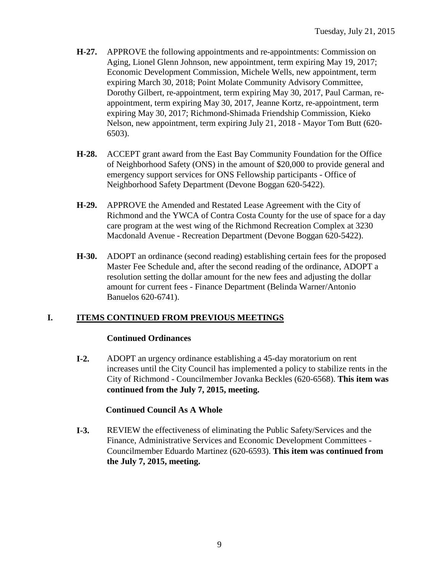- **H-27.** APPROVE the following appointments and re-appointments: Commission on Aging, Lionel Glenn Johnson, new appointment, term expiring May 19, 2017; Economic Development Commission, Michele Wells, new appointment, term expiring March 30, 2018; Point Molate Community Advisory Committee, Dorothy Gilbert, re-appointment, term expiring May 30, 2017, Paul Carman, reappointment, term expiring May 30, 2017, Jeanne Kortz, re-appointment, term expiring May 30, 2017; Richmond-Shimada Friendship Commission, Kieko Nelson, new appointment, term expiring July 21, 2018 - Mayor Tom Butt (620- 6503).
- **H-28.** ACCEPT grant award from the East Bay Community Foundation for the Office of Neighborhood Safety (ONS) in the amount of \$20,000 to provide general and emergency support services for ONS Fellowship participants - Office of Neighborhood Safety Department (Devone Boggan 620-5422).
- **H-29.** APPROVE the Amended and Restated Lease Agreement with the City of Richmond and the YWCA of Contra Costa County for the use of space for a day care program at the west wing of the Richmond Recreation Complex at 3230 Macdonald Avenue - Recreation Department (Devone Boggan 620-5422).
- **H-30.** ADOPT an ordinance (second reading) establishing certain fees for the proposed Master Fee Schedule and, after the second reading of the ordinance, ADOPT a resolution setting the dollar amount for the new fees and adjusting the dollar amount for current fees - Finance Department (Belinda Warner/Antonio Banuelos 620-6741).

#### **I. ITEMS CONTINUED FROM PREVIOUS MEETINGS**

#### **Continued Ordinances**

**I-2.** ADOPT an urgency ordinance establishing a 45-day moratorium on rent increases until the City Council has implemented a policy to stabilize rents in the City of Richmond - Councilmember Jovanka Beckles (620-6568). **This item was continued from the July 7, 2015, meeting.**

#### **Continued Council As A Whole**

**I-3.** REVIEW the effectiveness of eliminating the Public Safety/Services and the Finance, Administrative Services and Economic Development Committees - Councilmember Eduardo Martinez (620-6593). **This item was continued from the July 7, 2015, meeting.**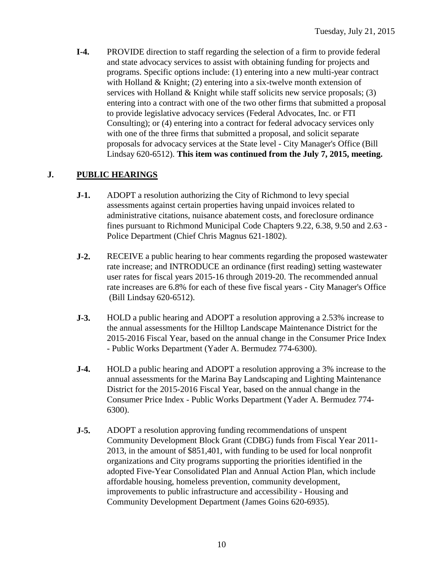**I-4.** PROVIDE direction to staff regarding the selection of a firm to provide federal and state advocacy services to assist with obtaining funding for projects and programs. Specific options include: (1) entering into a new multi-year contract with Holland  $&$  Knight; (2) entering into a six-twelve month extension of services with Holland & Knight while staff solicits new service proposals; (3) entering into a contract with one of the two other firms that submitted a proposal to provide legislative advocacy services (Federal Advocates, Inc. or FTI Consulting); or (4) entering into a contract for federal advocacy services only with one of the three firms that submitted a proposal, and solicit separate proposals for advocacy services at the State level - City Manager's Office (Bill Lindsay 620-6512). **This item was continued from the July 7, 2015, meeting.**

### **J. PUBLIC HEARINGS**

- **J-1.** ADOPT a resolution authorizing the City of Richmond to levy special assessments against certain properties having unpaid invoices related to administrative citations, nuisance abatement costs, and foreclosure ordinance fines pursuant to Richmond Municipal Code Chapters 9.22, 6.38, 9.50 and 2.63 - Police Department (Chief Chris Magnus 621-1802).
- **J-2.** RECEIVE a public hearing to hear comments regarding the proposed wastewater rate increase; and INTRODUCE an ordinance (first reading) setting wastewater user rates for fiscal years 2015-16 through 2019-20. The recommended annual rate increases are 6.8% for each of these five fiscal years - City Manager's Office (Bill Lindsay 620-6512).
- **J-3.** HOLD a public hearing and ADOPT a resolution approving a 2.53% increase to the annual assessments for the Hilltop Landscape Maintenance District for the 2015-2016 Fiscal Year, based on the annual change in the Consumer Price Index - Public Works Department (Yader A. Bermudez 774-6300).
- **J-4.** HOLD a public hearing and ADOPT a resolution approving a 3% increase to the annual assessments for the Marina Bay Landscaping and Lighting Maintenance District for the 2015-2016 Fiscal Year, based on the annual change in the Consumer Price Index - Public Works Department (Yader A. Bermudez 774- 6300).
- **J-5.** ADOPT a resolution approving funding recommendations of unspent Community Development Block Grant (CDBG) funds from Fiscal Year 2011- 2013, in the amount of \$851,401, with funding to be used for local nonprofit organizations and City programs supporting the priorities identified in the adopted Five-Year Consolidated Plan and Annual Action Plan, which include affordable housing, homeless prevention, community development, improvements to public infrastructure and accessibility - Housing and Community Development Department (James Goins 620-6935).